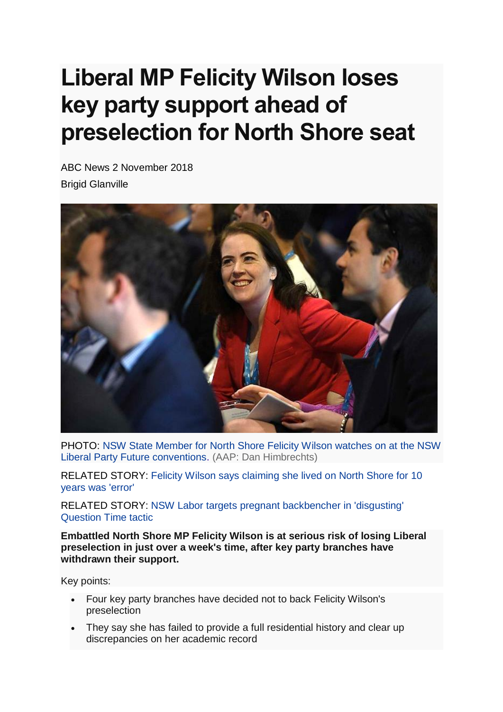## **Liberal MP Felicity Wilson loses key party support ahead of preselection for North Shore seat**

ABC News 2 November 2018 Brigid Glanville



PHOTO: [NSW State Member for North Shore Felicity Wilson watches on at the NSW](https://www.abc.net.au/news/2018-11-02/felicity-wilson-1/10458166)  [Liberal Party Future conventions.](https://www.abc.net.au/news/2018-11-02/felicity-wilson-1/10458166) (AAP: Dan Himbrechts)

RELATED STORY: [Felicity Wilson says claiming she lived on North Shore for 10](https://www.abc.net.au/news/2017-04-06/felicity-wilson-apology-for-claims-about-living-on-north-shore/8421622)  [years was 'error'](https://www.abc.net.au/news/2017-04-06/felicity-wilson-apology-for-claims-about-living-on-north-shore/8421622)

RELATED STORY: [NSW Labor targets pregnant backbencher in 'disgusting'](https://www.abc.net.au/news/2018-09-27/nsw-labor-questions-political-future-of-pregnant-mp/10314150)  [Question Time tactic](https://www.abc.net.au/news/2018-09-27/nsw-labor-questions-political-future-of-pregnant-mp/10314150)

**Embattled North Shore MP Felicity Wilson is at serious risk of losing Liberal preselection in just over a week's time, after key party branches have withdrawn their support.**

Key points:

- Four key party branches have decided not to back Felicity Wilson's preselection
- They say she has failed to provide a full residential history and clear up discrepancies on her academic record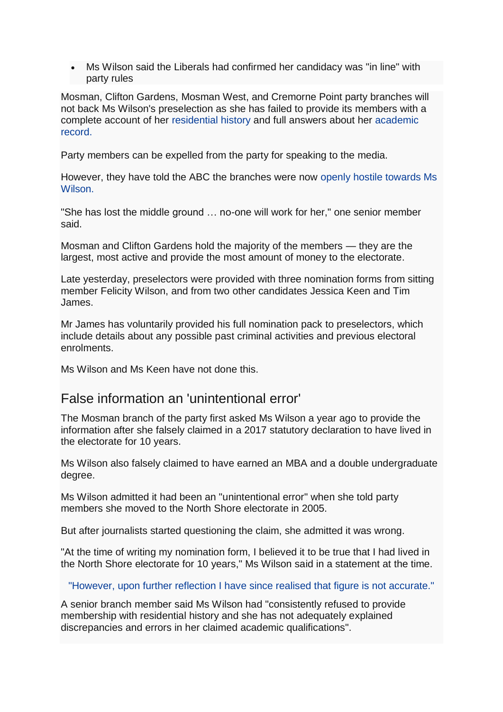• Ms Wilson said the Liberals had confirmed her candidacy was "in line" with party rules

Mosman, Clifton Gardens, Mosman West, and Cremorne Point party branches will not back Ms Wilson's preselection as she has failed to provide its members with a complete account of her [residential history](https://www.abc.net.au/news/2017-04-06/felicity-wilson-apology-for-claims-about-living-on-north-shore/8421622) and full answers about her [academic](https://www.abc.net.au/news/2017-07-05/nsw-liberal-mp-backtracks-on-double-degree-claim/8681758)  [record.](https://www.abc.net.au/news/2017-07-05/nsw-liberal-mp-backtracks-on-double-degree-claim/8681758)

Party members can be expelled from the party for speaking to the media.

However, they have told the ABC the branches were now [openly hostile towards Ms](https://www.abc.net.au/news/2017-09-20/felicity-wilson-risks-branch-support-if-doesnt-disclose-history/8964730)  **Wilson** 

"She has lost the middle ground … no-one will work for her," one senior member said.

Mosman and Clifton Gardens hold the majority of the members — they are the largest, most active and provide the most amount of money to the electorate.

Late yesterday, preselectors were provided with three nomination forms from sitting member Felicity Wilson, and from two other candidates Jessica Keen and Tim James.

Mr James has voluntarily provided his full nomination pack to preselectors, which include details about any possible past criminal activities and previous electoral enrolments.

Ms Wilson and Ms Keen have not done this.

## False information an 'unintentional error'

The Mosman branch of the party first asked Ms Wilson a year ago to provide the information after she falsely claimed in a 2017 statutory declaration to have lived in the electorate for 10 years.

Ms Wilson also falsely claimed to have earned an MBA and a double undergraduate degree.

Ms Wilson admitted it had been an "unintentional error" when she told party members she moved to the North Shore electorate in 2005.

But after journalists started questioning the claim, she admitted it was wrong.

"At the time of writing my nomination form, I believed it to be true that I had lived in the North Shore electorate for 10 years," Ms Wilson said in a statement at the time.

"However, upon further reflection I have since realised that figure is not accurate."

A senior branch member said Ms Wilson had "consistently refused to provide membership with residential history and she has not adequately explained discrepancies and errors in her claimed academic qualifications".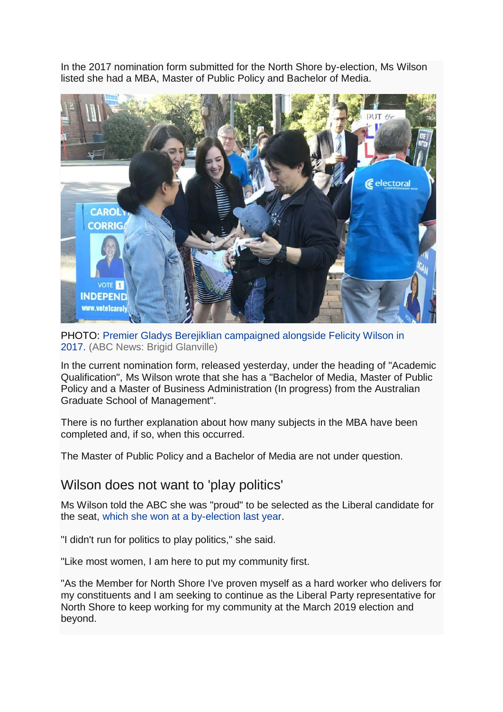In the 2017 nomination form submitted for the North Shore by-election, Ms Wilson listed she had a MBA, Master of Public Policy and Bachelor of Media.



PHOTO: [Premier Gladys Berejiklian campaigned alongside Felicity Wilson in](https://www.abc.net.au/news/2018-11-02/gladys-berjeklian-at-polling-booths/10458836)  2017. [\(ABC News: Brigid Glanville\)](https://www.abc.net.au/news/2018-11-02/gladys-berjeklian-at-polling-booths/10458836)

In the current nomination form, released yesterday, under the heading of "Academic Qualification", Ms Wilson wrote that she has a "Bachelor of Media, Master of Public Policy and a Master of Business Administration (In progress) from the Australian Graduate School of Management".

There is no further explanation about how many subjects in the MBA have been completed and, if so, when this occurred.

The Master of Public Policy and a Bachelor of Media are not under question.

## Wilson does not want to 'play politics'

Ms Wilson told the ABC she was "proud" to be selected as the Liberal candidate for the seat, [which she won at a by-election last year.](https://www.abc.net.au/news/elections/north-shore-by-election-2017/)

"I didn't run for politics to play politics," she said.

"Like most women, I am here to put my community first.

"As the Member for North Shore I've proven myself as a hard worker who delivers for my constituents and I am seeking to continue as the Liberal Party representative for North Shore to keep working for my community at the March 2019 election and beyond.